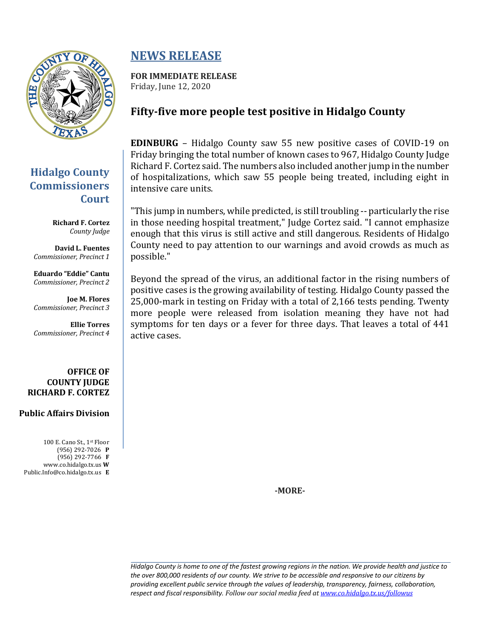

## **Hidalgo County Commissioners Court**

**Richard F. Cortez** *County Judge*

**David L. Fuentes** *Commissioner, Precinct 1*

**Eduardo "Eddie" Cantu** *Commissioner, Precinct 2*

**Joe M. Flores** *Commissioner, Precinct 3*

**Ellie Torres** *Commissioner, Precinct 4*

### **OFFICE OF COUNTY JUDGE RICHARD F. CORTEZ**

### **Public Affairs Division**

100 E. Cano St., 1st Floor (956) 292-7026 **P** (956) 292-7766 **F** www.co.hidalgo.tx.us **W** Public.Info@co.hidalgo.tx.us **E**

# **NEWS RELEASE**

**FOR IMMEDIATE RELEASE** Friday, June 12, 2020

### Fifty-five more people test positive in Hidalgo County

**EDINBURG** – Hidalgo County saw 55 new positive cases of COVID-19 on Friday bringing the total number of known cases to 967, Hidalgo County Judge Richard F. Cortez said. The numbers also included another jump in the number of hospitalizations, which saw 55 people being treated, including eight in intensive care units.

"This jump in numbers, while predicted, is still troubling -- particularly the rise in those needing hospital treatment," Judge Cortez said. "I cannot emphasize enough that this virus is still active and still dangerous. Residents of Hidalgo County need to pay attention to our warnings and avoid crowds as much as possible."

Beyond the spread of the virus, an additional factor in the rising numbers of positive cases is the growing availability of testing. Hidalgo County passed the 25,000-mark in testing on Friday with a total of 2,166 tests pending. Twenty more people were released from isolation meaning they have not had symptoms for ten days or a fever for three days. That leaves a total of 441 active cases.

**-MORE-**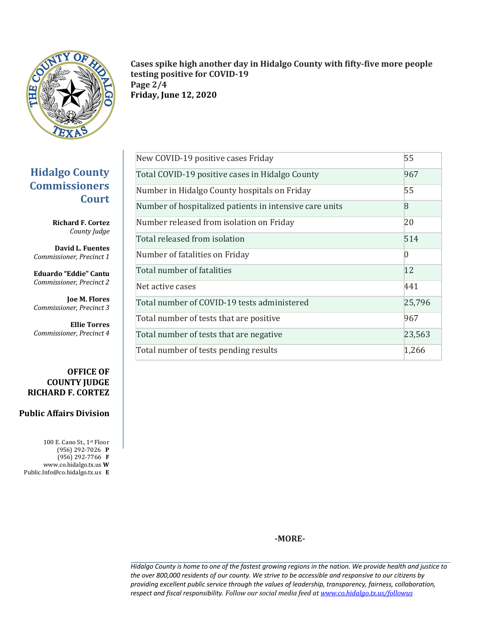

Cases spike high another day in Hidalgo County with fifty-five more people **testing positive for COVID-19 Page 2/4 Friday, June 12, 2020**

| New COVID-19 positive cases Friday                      | 55             |
|---------------------------------------------------------|----------------|
| Total COVID-19 positive cases in Hidalgo County         | 967            |
| Number in Hidalgo County hospitals on Friday            | 55             |
| Number of hospitalized patients in intensive care units | <sup>8</sup>   |
| Number released from isolation on Friday                | 20             |
| Total released from isolation                           | 514            |
| Number of fatalities on Friday                          | $\overline{0}$ |
| Total number of fatalities                              | 12             |
| Net active cases                                        | 441            |
| Total number of COVID-19 tests administered             | 25,796         |
| Total number of tests that are positive                 | 967            |
| Total number of tests that are negative                 | 23,563         |
| Total number of tests pending results                   | 1,266          |

**Hidalgo County Commissioners Court**

> **Richard F. Cortez** *County Judge*

**David L. Fuentes** *Commissioner, Precinct 1*

**Eduardo "Eddie" Cantu** *Commissioner, Precinct 2*

**Joe M. Flores** *Commissioner, Precinct 3*

**Ellie Torres** *Commissioner, Precinct 4*

#### **OFFICE OF COUNTY JUDGE RICHARD F. CORTEZ**

### **Public Affairs Division**

100 E. Cano St., 1st Floor (956) 292-7026 **P** (956) 292-7766 **F** www.co.hidalgo.tx.us **W** Public.Info@co.hidalgo.tx.us **E**

**-MORE-**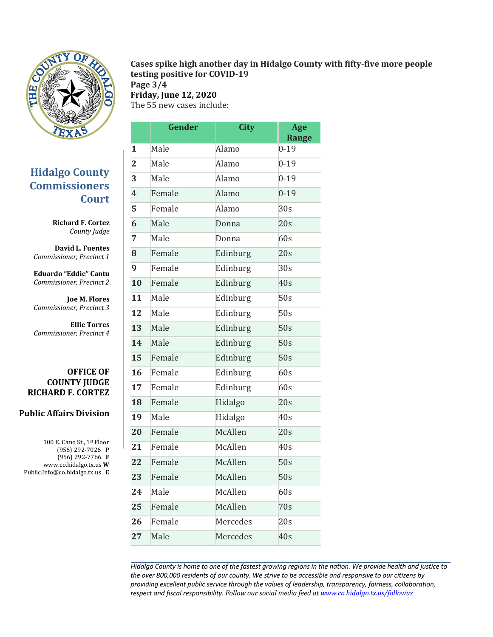

### **Hidalgo County Commissioners Court**

**Richard F. Cortez** *County Judge*

**David L. Fuentes** *Commissioner, Precinct 1*

**Eduardo "Eddie" Cantu** *Commissioner, Precinct 2*

**Joe M. Flores** *Commissioner, Precinct 3*

**Ellie Torres** *Commissioner, Precinct 4*

### **OFFICE OF COUNTY JUDGE RICHARD F. CORTEZ**

### **Public Affairs Division**

100 E. Cano St., 1st Floor (956) 292-7026 **P** (956) 292-7766 **F** www.co.hidalgo.tx.us **W** Public.Info@co.hidalgo.tx.us **E**

| Cases spike high another day in Hidalgo County with fifty-five more people |  |
|----------------------------------------------------------------------------|--|
| testing positive for COVID-19                                              |  |

**Page 3/4 Friday, June 12, 2020**

The 55 new cases include:

|                         | Gender | <b>City</b> | Age<br><b>Range</b> |
|-------------------------|--------|-------------|---------------------|
| 1                       | Male   | Alamo       | $0 - 19$            |
| $\overline{2}$          | Male   | Alamo       | $0 - 19$            |
| 3                       | Male   | Alamo       | $0 - 19$            |
| $\overline{\mathbf{4}}$ | Female | Alamo       | $0 - 19$            |
| 5                       | Female | Alamo       | 30s                 |
| 6                       | Male   | Donna       | 20s                 |
| 7                       | Male   | Donna       | 60s                 |
| 8                       | Female | Edinburg    | 20s                 |
| 9                       | Female | Edinburg    | 30s                 |
| 10                      | Female | Edinburg    | 40s                 |
| 11                      | Male   | Edinburg    | 50s                 |
| 12                      | Male   | Edinburg    | 50s                 |
| 13                      | Male   | Edinburg    | 50s                 |
| 14                      | Male   | Edinburg    | 50s                 |
| 15                      | Female | Edinburg    | 50s                 |
| 16                      | Female | Edinburg    | 60s                 |
| 17                      | Female | Edinburg    | 60s                 |
| 18                      | Female | Hidalgo     | 20s                 |
| 19                      | Male   | Hidalgo     | 40s                 |
| 20                      | Female | McAllen     | 20s                 |
| 21                      | Female | McAllen     | 40s                 |
| 22                      | Female | McAllen     | 50s                 |
| 23                      | Female | McAllen     | 50s                 |
| 24                      | Male   | McAllen     | 60s                 |
| 25                      | Female | McAllen     | 70s                 |
| 26                      | Female | Mercedes    | 20s                 |
| 27                      | Male   | Mercedes    | 40s                 |